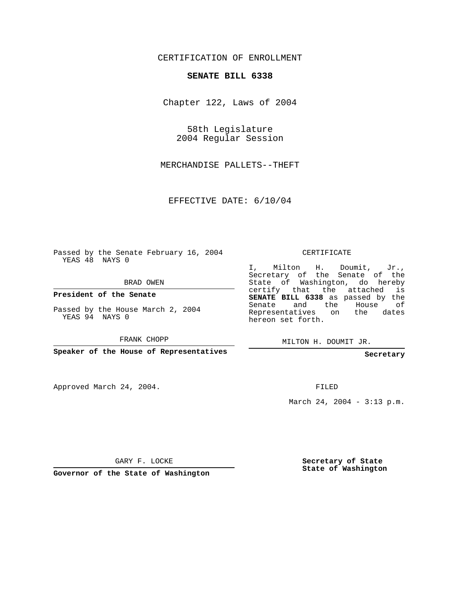## CERTIFICATION OF ENROLLMENT

## **SENATE BILL 6338**

Chapter 122, Laws of 2004

58th Legislature 2004 Regular Session

MERCHANDISE PALLETS--THEFT

EFFECTIVE DATE: 6/10/04

Passed by the Senate February 16, 2004 YEAS 48 NAYS 0

BRAD OWEN

**President of the Senate**

Passed by the House March 2, 2004 YEAS 94 NAYS 0

FRANK CHOPP

**Speaker of the House of Representatives**

Approved March 24, 2004.

CERTIFICATE

I, Milton H. Doumit, Jr., Secretary of the Senate of the State of Washington, do hereby certify that the attached is **SENATE BILL 6338** as passed by the Senate and the House of Representatives on the dates hereon set forth.

MILTON H. DOUMIT JR.

**Secretary**

FILED

March 24, 2004 - 3:13 p.m.

GARY F. LOCKE

**Governor of the State of Washington**

**Secretary of State State of Washington**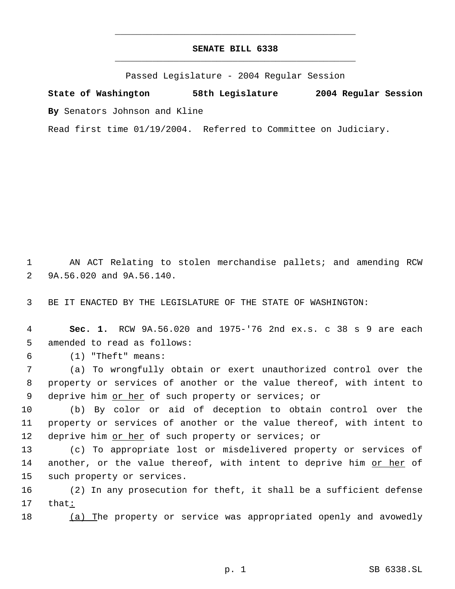## **SENATE BILL 6338** \_\_\_\_\_\_\_\_\_\_\_\_\_\_\_\_\_\_\_\_\_\_\_\_\_\_\_\_\_\_\_\_\_\_\_\_\_\_\_\_\_\_\_\_\_

\_\_\_\_\_\_\_\_\_\_\_\_\_\_\_\_\_\_\_\_\_\_\_\_\_\_\_\_\_\_\_\_\_\_\_\_\_\_\_\_\_\_\_\_\_

Passed Legislature - 2004 Regular Session

**State of Washington 58th Legislature 2004 Regular Session By** Senators Johnson and Kline

Read first time 01/19/2004. Referred to Committee on Judiciary.

 1 AN ACT Relating to stolen merchandise pallets; and amending RCW 2 9A.56.020 and 9A.56.140.

3 BE IT ENACTED BY THE LEGISLATURE OF THE STATE OF WASHINGTON:

 4 **Sec. 1.** RCW 9A.56.020 and 1975-'76 2nd ex.s. c 38 s 9 are each 5 amended to read as follows:

6 (1) "Theft" means:

 7 (a) To wrongfully obtain or exert unauthorized control over the 8 property or services of another or the value thereof, with intent to 9 deprive him or her of such property or services; or

10 (b) By color or aid of deception to obtain control over the 11 property or services of another or the value thereof, with intent to 12 deprive him or her of such property or services; or

13 (c) To appropriate lost or misdelivered property or services of 14 another, or the value thereof, with intent to deprive him or her of 15 such property or services.

16 (2) In any prosecution for theft, it shall be a sufficient defense 17 that:

18 (a) The property or service was appropriated openly and avowedly